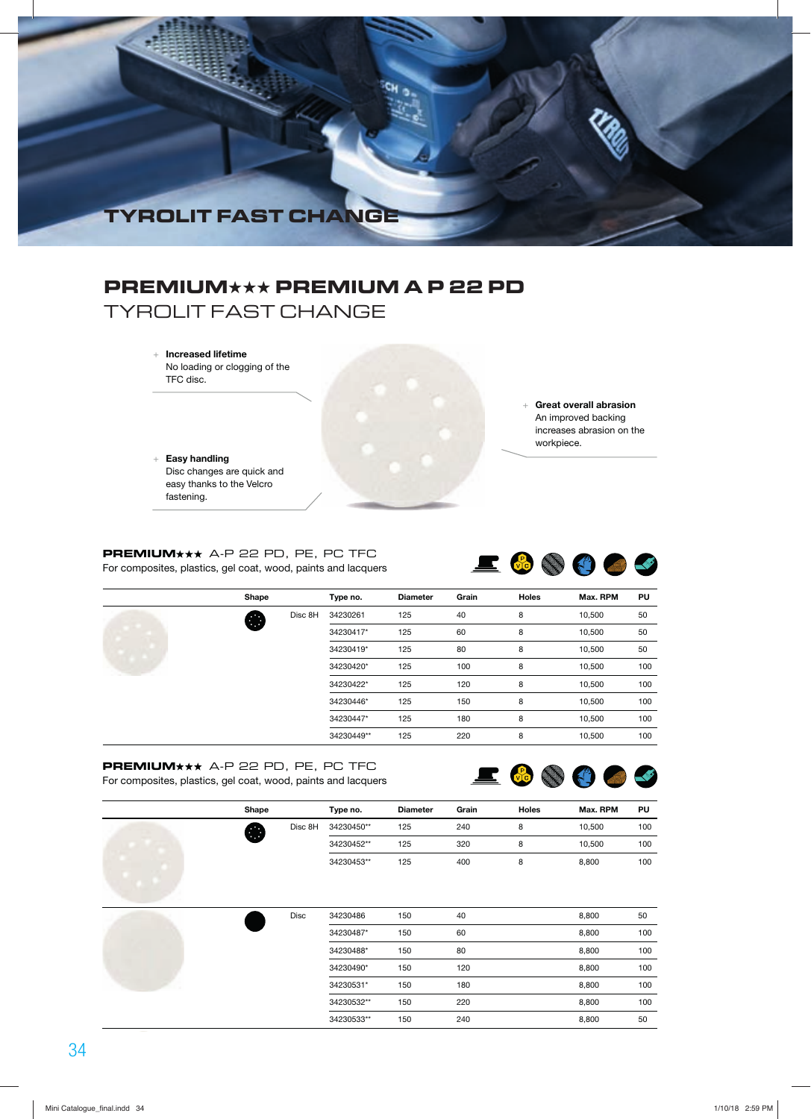

# **PREMIUM**★★★ **PREMIUM A P 22 PD**

TYROLIT FAST CHANGE

 + **Increased lifetime** No loading or clogging of the TFC disc.

 + **Easy handling** Disc changes are quick and easy thanks to the Velcro fastening.

 + **Great overall abrasion** An improved backing increases abrasion on the workpiece.

**PREMIUM**\*\*\* A-P 22 PD, PE, PC TFC For composites, plastics, gel coat, wood, paints and lacquers



| Shape |         | Type no.   | <b>Diameter</b> | Grain | <b>Holes</b> | Max. RPM | PU  |
|-------|---------|------------|-----------------|-------|--------------|----------|-----|
| æ     | Disc 8H | 34230261   | 125             | 40    | 8            | 10,500   | 50  |
|       |         | 34230417*  | 125             | 60    | 8            | 10,500   | 50  |
|       |         | 34230419*  | 125             | 80    | 8            | 10,500   | 50  |
|       |         | 34230420*  | 125             | 100   | 8            | 10,500   | 100 |
|       |         | 34230422*  | 125             | 120   | 8            | 10,500   | 100 |
|       |         | 34230446*  | 125             | 150   | 8            | 10,500   | 100 |
|       |         | 34230447*  | 125             | 180   | 8            | 10,500   | 100 |
|       |         | 34230449** | 125             | 220   | 8            | 10,500   | 100 |

### **PREMIUM**<sup>\*\*</sup> A-P 22 PD, PE, PC TFC For composites, plastics, gel coat, wood, paints and lacquers



| Shape                    | Type no.   | <b>Diameter</b> | Grain | <b>Holes</b> | Max. RPM | PU  |
|--------------------------|------------|-----------------|-------|--------------|----------|-----|
| Disc 8H<br>$\cdots$<br>Œ | 34230450** | 125             | 240   |              | 10.500   | 100 |
|                          | 34230452** | 125             | 320   |              | 10.500   | 100 |
|                          | 34230453** | 125             | 400   |              | 8.800    | 100 |

|  | <b>Disc</b> | 34230486   | 150 | 40  | 8,800 | 50  |
|--|-------------|------------|-----|-----|-------|-----|
|  |             | 34230487*  | 150 | 60  | 8,800 | 100 |
|  |             | 34230488*  | 150 | 80  | 8,800 | 100 |
|  |             | 34230490*  | 150 | 120 | 8,800 | 100 |
|  |             | 34230531*  | 150 | 180 | 8,800 | 100 |
|  |             | 34230532** | 150 | 220 | 8,800 | 100 |
|  |             | 34230533** | 150 | 240 | 8,800 | 50  |
|  |             |            |     |     |       |     |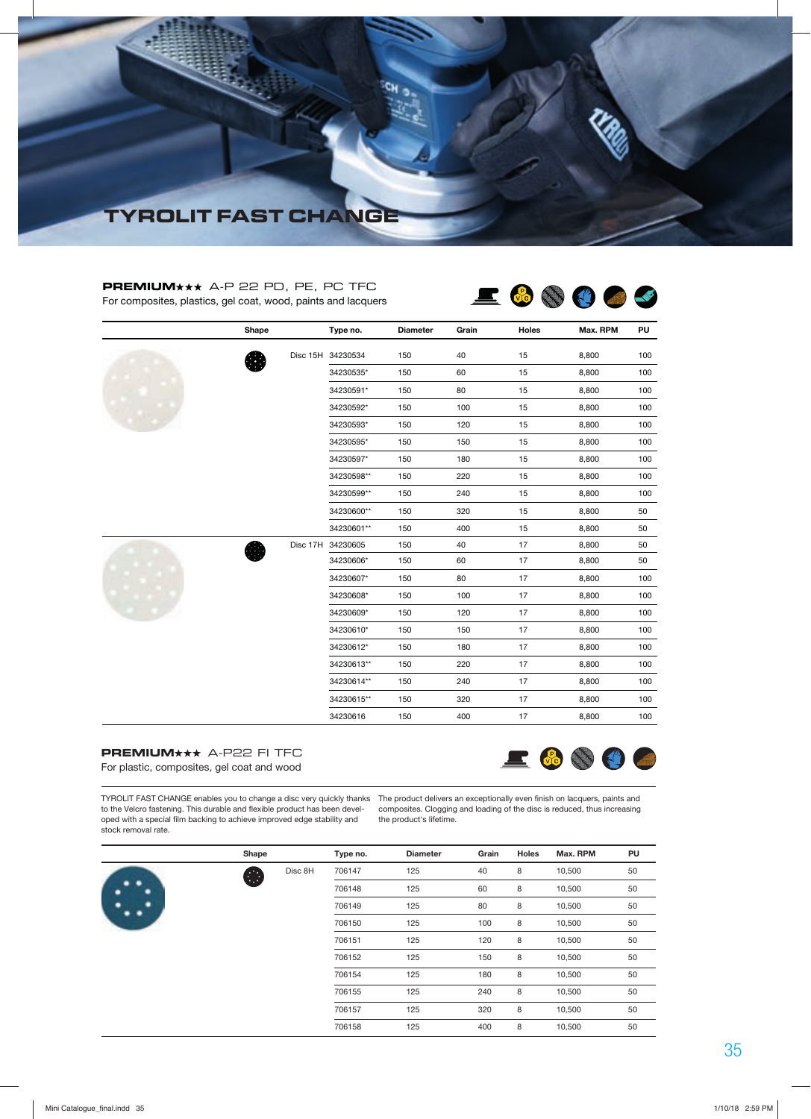

### PREMIUM**\*\*\*** A-P 22 PD, PE, PC TFC For composites, plastics, gel coat, wood, paints and lacquers



|  | Shape | Type no.          | <b>Diameter</b> | Grain | Holes | Max. RPM | PU  |
|--|-------|-------------------|-----------------|-------|-------|----------|-----|
|  |       | Disc 15H 34230534 | 150             | 40    | 15    | 8,800    | 100 |
|  |       | 34230535*         | 150             | 60    | 15    | 8,800    | 100 |
|  |       | 34230591*         | 150             | 80    | 15    | 8,800    | 100 |
|  |       | 34230592*         | 150             | 100   | 15    | 8,800    | 100 |
|  |       | 34230593*         | 150             | 120   | 15    | 8,800    | 100 |
|  |       | 34230595*         | 150             | 150   | 15    | 8,800    | 100 |
|  |       | 34230597*         | 150             | 180   | 15    | 8,800    | 100 |
|  |       | 34230598**        | 150             | 220   | 15    | 8,800    | 100 |
|  |       | 34230599**        | 150             | 240   | 15    | 8,800    | 100 |
|  |       | 34230600**        | 150             | 320   | 15    | 8,800    | 50  |
|  |       | 34230601**        | 150             | 400   | 15    | 8,800    | 50  |
|  |       | Disc 17H 34230605 | 150             | 40    | 17    | 8,800    | 50  |
|  |       | 34230606*         | 150             | 60    | 17    | 8,800    | 50  |
|  |       | 34230607*         | 150             | 80    | 17    | 8,800    | 100 |
|  |       | 34230608*         | 150             | 100   | 17    | 8,800    | 100 |
|  |       | 34230609*         | 150             | 120   | 17    | 8,800    | 100 |
|  |       | 34230610*         | 150             | 150   | 17    | 8,800    | 100 |
|  |       | 34230612*         | 150             | 180   | 17    | 8,800    | 100 |
|  |       | 34230613**        | 150             | 220   | 17    | 8,800    | 100 |
|  |       | 34230614**        | 150             | 240   | 17    | 8,800    | 100 |
|  |       | 34230615**        | 150             | 320   | 17    | 8,800    | 100 |
|  |       | 34230616          | 150             | 400   | 17    | 8,800    | 100 |

### **PREMIUM\*\*\*** A-P22 FI TFC

For plastic, composites, gel coat and wood



TYROLIT FAST CHANGE enables you to change a disc very quickly thanks The product delivers an exceptionally even finish on lacquers, paints and to the Velcro fastening. This durable and flexible product has been devel-composites. Clogging and loading of the disc is reduced, thus increasing oped with a special film backing to achieve improved edge stability and stock removal rate.

the product's lifetime.

|  | Shape |         | Type no. | <b>Diameter</b> | Grain | <b>Holes</b> | Max. RPM | PU |
|--|-------|---------|----------|-----------------|-------|--------------|----------|----|
|  | 63    | Disc 8H | 706147   | 125             | 40    | 8            | 10,500   | 50 |
|  |       |         | 706148   | 125             | 60    | 8            | 10,500   | 50 |
|  |       |         | 706149   | 125             | 80    | 8            | 10,500   | 50 |
|  |       |         | 706150   | 125             | 100   | 8            | 10,500   | 50 |
|  |       |         | 706151   | 125             | 120   | 8            | 10,500   | 50 |
|  |       |         | 706152   | 125             | 150   | 8            | 10,500   | 50 |
|  |       |         | 706154   | 125             | 180   | 8            | 10,500   | 50 |
|  |       |         | 706155   | 125             | 240   | 8            | 10,500   | 50 |
|  |       |         | 706157   | 125             | 320   | 8            | 10,500   | 50 |
|  |       |         | 706158   | 125             | 400   | 8            | 10,500   | 50 |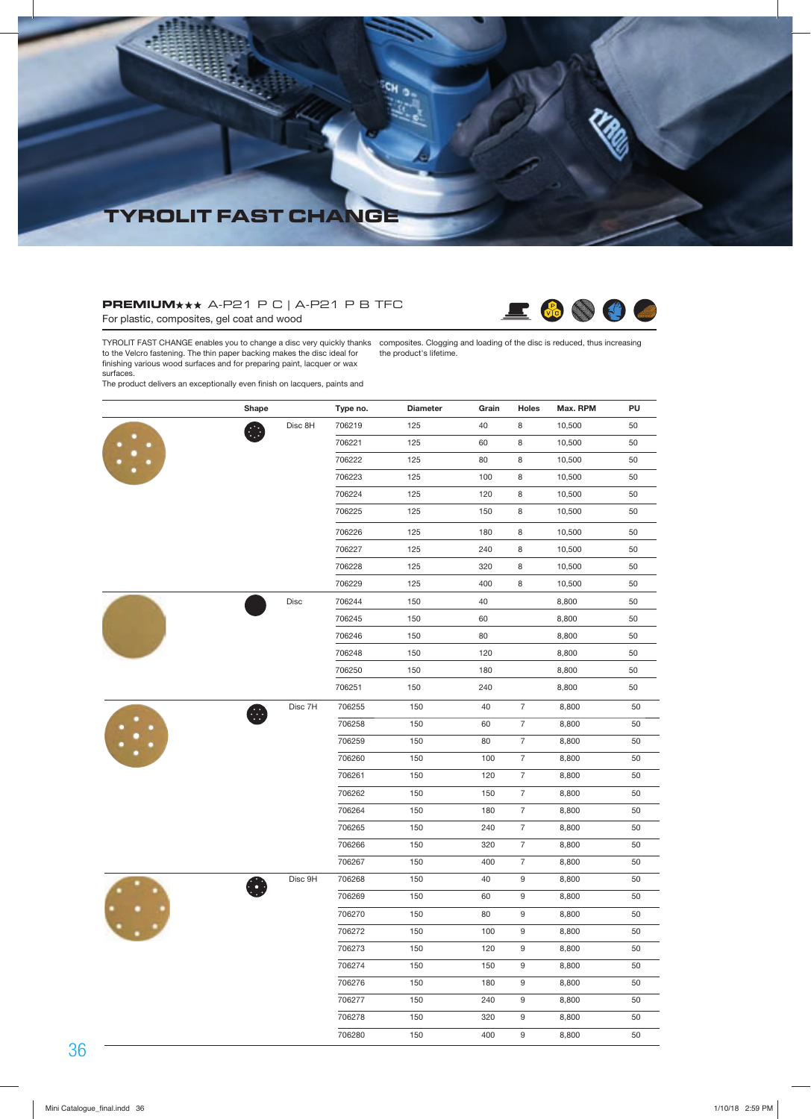

### $PREMIUM$  $\star\star$  A-P21 P C | A-P21 P B TFC For plastic, composites, gel coat and wood



TYROLIT FAST CHANGE enables you to change a disc very quickly thanks to the Velcro fastening. The thin paper backing makes the disc ideal for finishing various wood surfaces and for preparing makes the disc ideal for finishing various wood surfaces and for preparing paint, lacquer or wax surfaces. composites. Clogging and loading of the disc is reduced, thus increasing the product's lifetime.

The product delivers an exceptionally even finish on lacquers, paints and

|           | Shape   | Type no. | <b>Diameter</b> | Grain | Holes            | Max. RPM | PU |
|-----------|---------|----------|-----------------|-------|------------------|----------|----|
|           | Disc 8H | 706219   | 125             | 40    | 8                | 10,500   | 50 |
|           |         | 706221   | 125             | 60    | 8                | 10,500   | 50 |
| $\ddots$  |         | 706222   | 125             | 80    | 8                | 10,500   | 50 |
|           |         | 706223   | 125             | 100   | 8                | 10,500   | 50 |
|           |         | 706224   | 125             | 120   | 8                | 10,500   | 50 |
|           |         | 706225   | 125             | 150   | 8                | 10,500   | 50 |
|           |         | 706226   | 125             | 180   | 8                | 10,500   | 50 |
|           |         | 706227   | 125             | 240   | 8                | 10,500   | 50 |
|           |         | 706228   | 125             | 320   | 8                | 10,500   | 50 |
|           |         | 706229   | 125             | 400   | 8                | 10,500   | 50 |
|           | Disc    | 706244   | 150             | 40    |                  | 8,800    | 50 |
|           |         | 706245   | 150             | 60    |                  | 8,800    | 50 |
|           |         | 706246   | 150             | 80    |                  | 8,800    | 50 |
|           |         | 706248   | 150             | 120   |                  | 8,800    | 50 |
|           |         | 706250   | 150             | 180   |                  | 8,800    | 50 |
|           |         | 706251   | 150             | 240   |                  | 8,800    | 50 |
| $\vdots$  | Disc 7H | 706255   | 150             | 40    | $\overline{7}$   | 8,800    | 50 |
|           |         | 706258   | 150             | 60    | $\overline{7}$   | 8,800    | 50 |
|           |         | 706259   | 150             | 80    | $\overline{7}$   | 8,800    | 50 |
|           |         | 706260   | 150             | 100   | $\overline{7}$   | 8,800    | 50 |
|           |         | 706261   | 150             | 120   | $\overline{7}$   | 8,800    | 50 |
|           |         | 706262   | 150             | 150   | $\overline{7}$   | 8,800    | 50 |
|           |         | 706264   | 150             | 180   | $\overline{7}$   | 8,800    | 50 |
|           |         | 706265   | 150             | 240   | $\overline{7}$   | 8,800    | 50 |
|           |         | 706266   | 150             | 320   | $\overline{7}$   | 8,800    | 50 |
|           |         | 706267   | 150             | 400   | $\overline{7}$   | 8,800    | 50 |
|           | Disc 9H | 706268   | 150             | 40    | 9                | 8,800    | 50 |
|           |         | 706269   | 150             | 60    | $\boldsymbol{9}$ | 8,800    | 50 |
| $\ddotsc$ |         | 706270   | 150             | 80    | $\boldsymbol{9}$ | 8,800    | 50 |
|           |         | 706272   | 150             | 100   | 9                | 8,800    | 50 |
|           |         | 706273   | 150             | 120   | 9                | 8,800    | 50 |
|           |         | 706274   | 150             | 150   | $\boldsymbol{9}$ | 8,800    | 50 |
|           |         | 706276   | 150             | 180   | 9                | 8,800    | 50 |
|           |         | 706277   | 150             | 240   | $\boldsymbol{9}$ | 8,800    | 50 |
|           |         | 706278   | 150             | 320   | 9                | 8,800    | 50 |
|           |         | 706280   | 150             | 400   | 9                | 8,800    | 50 |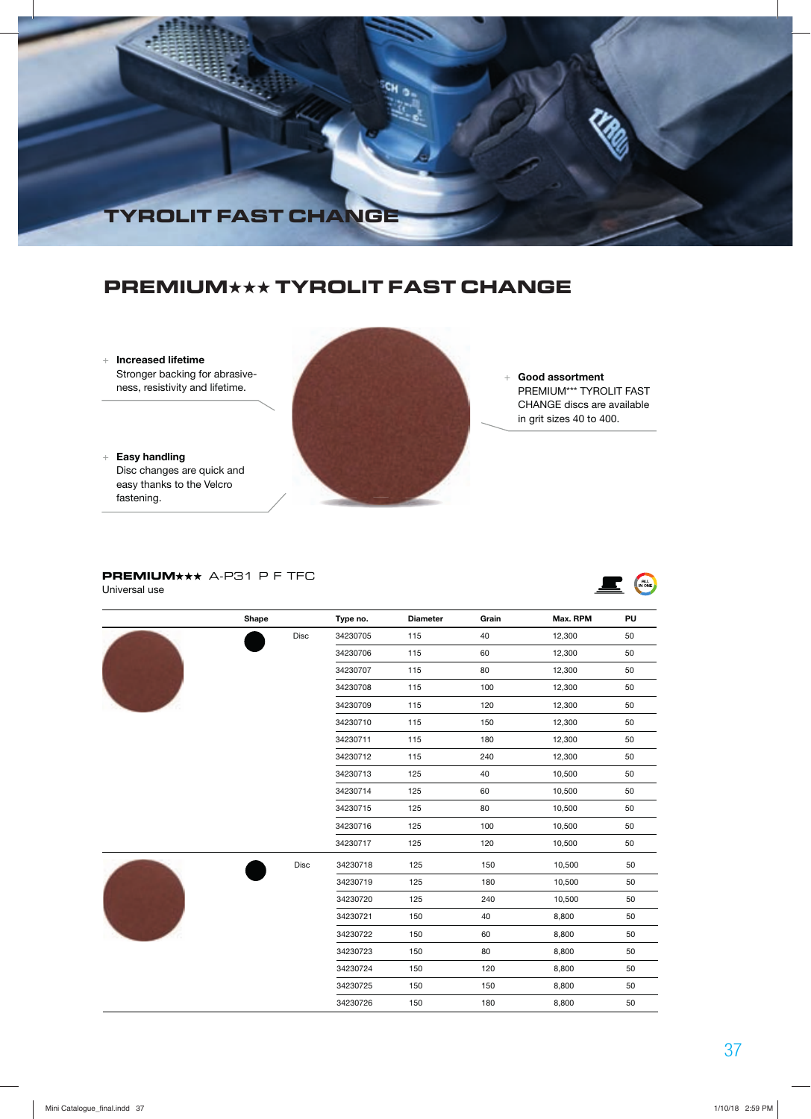

## **PREMIUM**★★★ **TYROLIT FAST CHANGE**

 + **Increased lifetime** Stronger backing for abrasiveness, resistivity and lifetime.

 + **Easy handling** Disc changes are quick and easy thanks to the Velcro fastening.



 + **Good assortment** PREMIUM\*\*\* TYROLIT FAST CHANGE discs are available in grit sizes 40 to 400.

E MONE

### **PREMIUM\*\*\*** A-P31 P F TFC

Universal use

|  | Shape |      | Type no. | <b>Diameter</b> | Grain | Max. RPM | PU |
|--|-------|------|----------|-----------------|-------|----------|----|
|  |       | Disc | 34230705 | 115             | 40    | 12,300   | 50 |
|  |       |      | 34230706 | 115             | 60    | 12,300   | 50 |
|  |       |      | 34230707 | 115             | 80    | 12,300   | 50 |
|  |       |      | 34230708 | 115             | 100   | 12,300   | 50 |
|  |       |      | 34230709 | 115             | 120   | 12,300   | 50 |
|  |       |      | 34230710 | 115             | 150   | 12,300   | 50 |
|  |       |      | 34230711 | 115             | 180   | 12,300   | 50 |
|  |       |      | 34230712 | 115             | 240   | 12,300   | 50 |
|  |       |      | 34230713 | 125             | 40    | 10,500   | 50 |
|  |       |      | 34230714 | 125             | 60    | 10,500   | 50 |
|  |       |      | 34230715 | 125             | 80    | 10,500   | 50 |
|  |       |      | 34230716 | 125             | 100   | 10,500   | 50 |
|  |       |      | 34230717 | 125             | 120   | 10,500   | 50 |
|  |       | Disc | 34230718 | 125             | 150   | 10,500   | 50 |
|  |       |      | 34230719 | 125             | 180   | 10,500   | 50 |
|  |       |      | 34230720 | 125             | 240   | 10,500   | 50 |
|  |       |      | 34230721 | 150             | 40    | 8,800    | 50 |
|  |       |      | 34230722 | 150             | 60    | 8,800    | 50 |
|  |       |      | 34230723 | 150             | 80    | 8,800    | 50 |
|  |       |      | 34230724 | 150             | 120   | 8,800    | 50 |
|  |       |      | 34230725 | 150             | 150   | 8,800    | 50 |
|  |       |      | 34230726 | 150             | 180   | 8,800    | 50 |